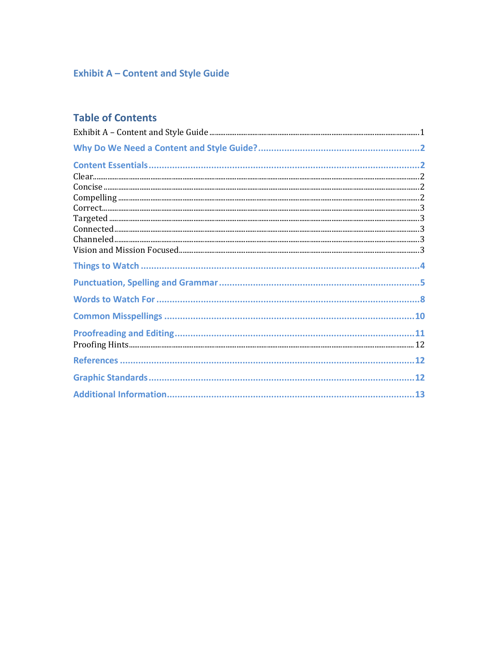## <span id="page-0-0"></span>**Exhibit A - Content and Style Guide**

## **Table of Contents**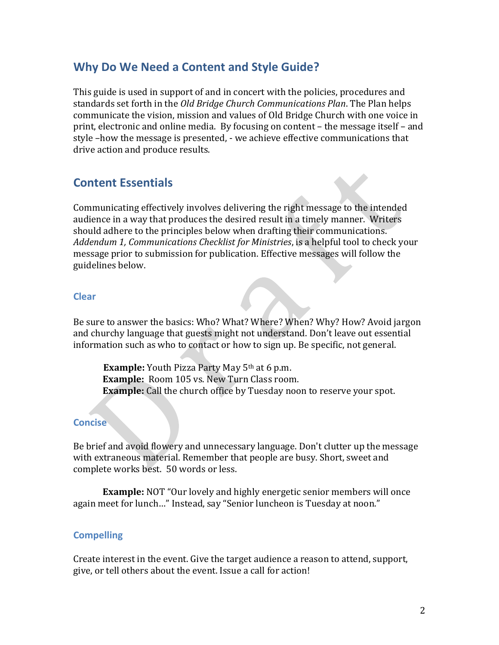### <span id="page-1-0"></span>**Why Do We Need a Content and Style Guide?**

This guide is used in support of and in concert with the policies, procedures and standards set forth in the *Old Bridge Church Communications Plan*. The Plan helps communicate the vision, mission and values of Old Bridge Church with one voice in print, electronic and online media. By focusing on content – the message itself – and style –how the message is presented, - we achieve effective communications that drive action and produce results.

### <span id="page-1-1"></span>**Content Essentials**

Communicating effectively involves delivering the right message to the intended audience in a way that produces the desired result in a timely manner. Writers should adhere to the principles below when drafting their communications. *Addendum 1, Communications Checklist for Ministries*, is a helpful tool to check your message prior to submission for publication. Effective messages will follow the guidelines below.

#### <span id="page-1-2"></span>**Clear**

Be sure to answer the basics: Who? What? Where? When? Why? How? Avoid jargon and churchy language that guests might not understand. Don't leave out essential information such as who to contact or how to sign up. Be specific, not general.

**Example:** Youth Pizza Party May 5<sup>th</sup> at 6 p.m. **Example:** Room 105 vs. New Turn Class room. **Example:** Call the church office by Tuesday noon to reserve your spot.

### <span id="page-1-3"></span>**Concise**

Be brief and avoid flowery and unnecessary language. Don't clutter up the message with extraneous material. Remember that people are busy. Short, sweet and complete works best. 50 words or less.

**Example:** NOT "Our lovely and highly energetic senior members will once again meet for lunch…" Instead, say "Senior luncheon is Tuesday at noon."

#### <span id="page-1-4"></span>**Compelling**

Create interest in the event. Give the target audience a reason to attend, support, give, or tell others about the event. Issue a call for action!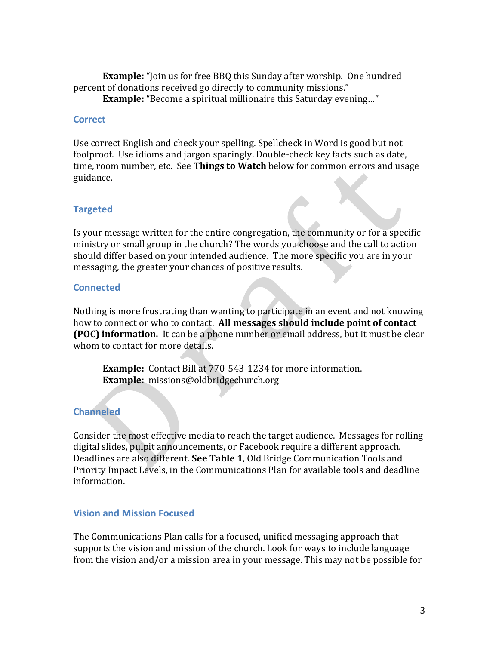**Example:** "Join us for free BBQ this Sunday after worship. One hundred percent of donations received go directly to community missions."

**Example:** "Become a spiritual millionaire this Saturday evening…"

#### <span id="page-2-0"></span>**Correct**

Use correct English and check your spelling. Spellcheck in Word is good but not foolproof. Use idioms and jargon sparingly. Double-check key facts such as date, time, room number, etc. See **Things to Watch** below for common errors and usage guidance.

### <span id="page-2-1"></span>**Targeted**

Is your message written for the entire congregation, the community or for a specific ministry or small group in the church? The words you choose and the call to action should differ based on your intended audience. The more specific you are in your messaging, the greater your chances of positive results.

#### <span id="page-2-2"></span>**Connected**

Nothing is more frustrating than wanting to participate in an event and not knowing how to connect or who to contact. **All messages should include point of contact (POC) information.** It can be a phone number or email address, but it must be clear whom to contact for more details.

**Example:** Contact Bill at 770-543-1234 for more information. **Example:** missions@oldbridgechurch.org

### <span id="page-2-3"></span>**Channeled**

Consider the most effective media to reach the target audience. Messages for rolling digital slides, pulpit announcements, or Facebook require a different approach. Deadlines are also different. **See Table 1**, Old Bridge Communication Tools and Priority Impact Levels, in the Communications Plan for available tools and deadline information.

#### <span id="page-2-4"></span>**Vision and Mission Focused**

The Communications Plan calls for a focused, unified messaging approach that supports the vision and mission of the church. Look for ways to include language from the vision and/or a mission area in your message. This may not be possible for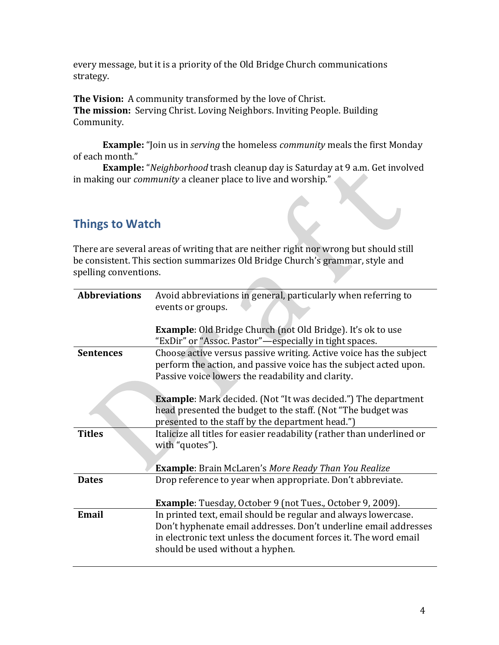every message, but it is a priority of the Old Bridge Church communications strategy.

**The Vision:** A community transformed by the love of Christ. **The mission:** Serving Christ. Loving Neighbors. Inviting People. Building Community.

**Example:** "Join us in *serving* the homeless *community* meals the first Monday of each month."

**Example:** "*Neighborhood* trash cleanup day is Saturday at 9 a.m. Get involved in making our *community* a cleaner place to live and worship."

## <span id="page-3-0"></span>**Things to Watch**

There are several areas of writing that are neither right nor wrong but should still be consistent. This section summarizes Old Bridge Church's grammar, style and spelling conventions.

| <b>Abbreviations</b> | Avoid abbreviations in general, particularly when referring to<br>events or groups.                                                                                                                                                        |
|----------------------|--------------------------------------------------------------------------------------------------------------------------------------------------------------------------------------------------------------------------------------------|
|                      | <b>Example:</b> Old Bridge Church (not Old Bridge). It's ok to use<br>"ExDir" or "Assoc. Pastor"-especially in tight spaces.                                                                                                               |
| <b>Sentences</b>     | Choose active versus passive writing. Active voice has the subject<br>perform the action, and passive voice has the subject acted upon.<br>Passive voice lowers the readability and clarity.                                               |
|                      | <b>Example</b> : Mark decided. (Not "It was decided.") The department<br>head presented the budget to the staff. (Not "The budget was<br>presented to the staff by the department head.")                                                  |
| <b>Titles</b>        | Italicize all titles for easier readability (rather than underlined or<br>with "quotes").                                                                                                                                                  |
|                      | <b>Example:</b> Brain McLaren's More Ready Than You Realize                                                                                                                                                                                |
| <b>Dates</b>         | Drop reference to year when appropriate. Don't abbreviate.                                                                                                                                                                                 |
|                      | <b>Example</b> : Tuesday, October 9 (not Tues., October 9, 2009).                                                                                                                                                                          |
| Email                | In printed text, email should be regular and always lowercase.<br>Don't hyphenate email addresses. Don't underline email addresses<br>in electronic text unless the document forces it. The word email<br>should be used without a hyphen. |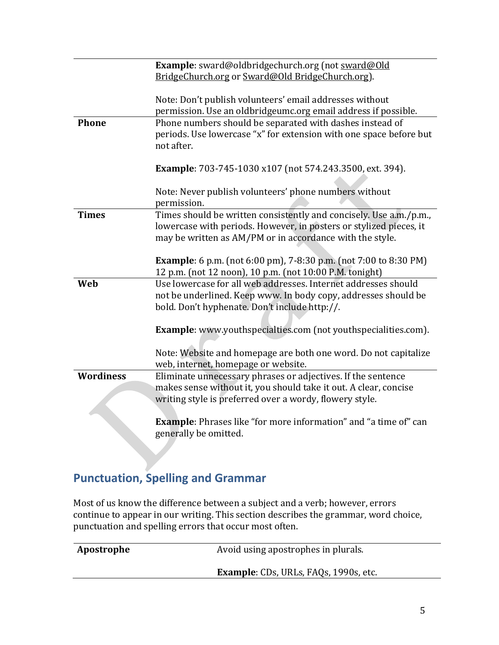|                  | Example: sward@oldbridgechurch.org (not sward@Old                        |
|------------------|--------------------------------------------------------------------------|
|                  | BridgeChurch.org or Sward@Old BridgeChurch.org).                         |
|                  |                                                                          |
|                  | Note: Don't publish volunteers' email addresses without                  |
|                  | permission. Use an oldbridgeumc.org email address if possible.           |
| <b>Phone</b>     | Phone numbers should be separated with dashes instead of                 |
|                  |                                                                          |
|                  | periods. Use lowercase "x" for extension with one space before but       |
|                  | not after.                                                               |
|                  |                                                                          |
|                  | <b>Example</b> : 703-745-1030 x107 (not 574.243.3500, ext. 394).         |
|                  |                                                                          |
|                  | Note: Never publish volunteers' phone numbers without                    |
|                  | permission.                                                              |
| <b>Times</b>     | Times should be written consistently and concisely. Use a.m./p.m.,       |
|                  | lowercase with periods. However, in posters or stylized pieces, it       |
|                  | may be written as AM/PM or in accordance with the style.                 |
|                  |                                                                          |
|                  | <b>Example</b> : 6 p.m. (not 6:00 pm), 7-8:30 p.m. (not 7:00 to 8:30 PM) |
|                  | 12 p.m. (not 12 noon), 10 p.m. (not 10:00 P.M. tonight)                  |
| Web              | Use lowercase for all web addresses. Internet addresses should           |
|                  | not be underlined. Keep www. In body copy, addresses should be           |
|                  | bold. Don't hyphenate. Don't include http://.                            |
|                  |                                                                          |
|                  | <b>Example</b> : www.youthspecialties.com (not youthspecialities.com).   |
|                  |                                                                          |
|                  | Note: Website and homepage are both one word. Do not capitalize          |
|                  |                                                                          |
|                  | web, internet, homepage or website.                                      |
| <b>Wordiness</b> | Eliminate unnecessary phrases or adjectives. If the sentence             |
|                  | makes sense without it, you should take it out. A clear, concise         |
|                  | writing style is preferred over a wordy, flowery style.                  |
|                  |                                                                          |
|                  | <b>Example</b> : Phrases like "for more information" and "a time of" can |
|                  | generally be omitted.                                                    |

# <span id="page-4-0"></span>**Punctuation, Spelling and Grammar**

Most of us know the difference between a subject and a verb; however, errors continue to appear in our writing. This section describes the grammar, word choice, punctuation and spelling errors that occur most often.

| Apostrophe | Avoid using apostrophes in plurals.          |
|------------|----------------------------------------------|
|            | <b>Example:</b> CDs, URLs, FAQs, 1990s, etc. |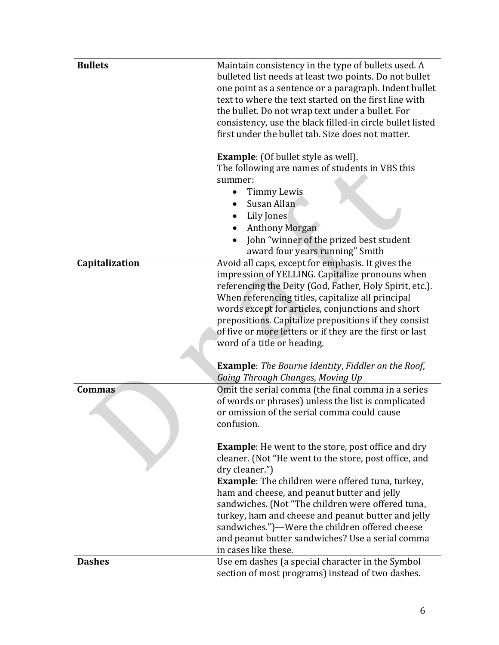| <b>Bullets</b> | Maintain consistency in the type of bullets used. A<br>bulleted list needs at least two points. Do not bullet<br>one point as a sentence or a paragraph. Indent bullet<br>text to where the text started on the first line with<br>the bullet. Do not wrap text under a bullet. For<br>consistency, use the black filled-in circle bullet listed<br>first under the bullet tab. Size does not matter.                                                                                   |
|----------------|-----------------------------------------------------------------------------------------------------------------------------------------------------------------------------------------------------------------------------------------------------------------------------------------------------------------------------------------------------------------------------------------------------------------------------------------------------------------------------------------|
|                | <b>Example:</b> (Of bullet style as well).<br>The following are names of students in VBS this<br>summer:<br>Timmy Lewis<br>Susan Allan<br>Lily Jones<br><b>Anthony Morgan</b><br>John "winner of the prized best student<br>award four years running" Smith                                                                                                                                                                                                                             |
| Capitalization | Avoid all caps, except for emphasis. It gives the<br>impression of YELLING. Capitalize pronouns when<br>referencing the Deity (God, Father, Holy Spirit, etc.).<br>When referencing titles, capitalize all principal<br>words except for articles, conjunctions and short<br>prepositions. Capitalize prepositions if they consist<br>of five or more letters or if they are the first or last<br>word of a title or heading.                                                           |
|                | <b>Example:</b> The Bourne Identity, Fiddler on the Roof,<br>Going Through Changes, Moving Up                                                                                                                                                                                                                                                                                                                                                                                           |
| <b>Commas</b>  | Omit the serial comma (the final comma in a series<br>of words or phrases) unless the list is complicated<br>or omission of the serial comma could cause<br>confusion.                                                                                                                                                                                                                                                                                                                  |
|                | <b>Example:</b> He went to the store, post office and dry<br>cleaner. (Not "He went to the store, post office, and<br>dry cleaner.")<br><b>Example:</b> The children were offered tuna, turkey,<br>ham and cheese, and peanut butter and jelly<br>sandwiches. (Not "The children were offered tuna,<br>turkey, ham and cheese and peanut butter and jelly<br>sandwiches.")—Were the children offered cheese<br>and peanut butter sandwiches? Use a serial comma<br>in cases like these. |
| <b>Dashes</b>  | Use em dashes (a special character in the Symbol<br>section of most programs) instead of two dashes.                                                                                                                                                                                                                                                                                                                                                                                    |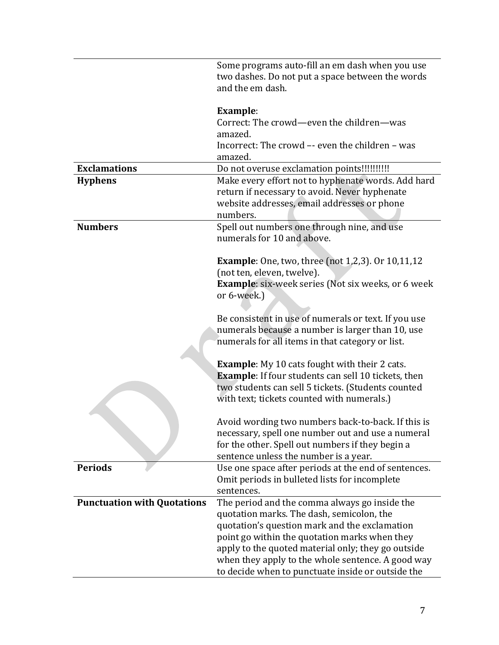|                                    | Some programs auto-fill an em dash when you use                                                       |
|------------------------------------|-------------------------------------------------------------------------------------------------------|
|                                    | two dashes. Do not put a space between the words<br>and the em dash.                                  |
|                                    |                                                                                                       |
|                                    | <b>Example:</b>                                                                                       |
|                                    | Correct: The crowd—even the children—was                                                              |
|                                    | amazed.                                                                                               |
|                                    | Incorrect: The crowd -- even the children - was                                                       |
|                                    | amazed.                                                                                               |
| <b>Exclamations</b>                | Do not overuse exclamation points!!!!!!!!!!!                                                          |
| <b>Hyphens</b>                     | Make every effort not to hyphenate words. Add hard                                                    |
|                                    | return if necessary to avoid. Never hyphenate                                                         |
|                                    | website addresses, email addresses or phone<br>numbers.                                               |
| <b>Numbers</b>                     | Spell out numbers one through nine, and use                                                           |
|                                    | numerals for 10 and above.                                                                            |
|                                    |                                                                                                       |
|                                    | <b>Example</b> : One, two, three (not 1,2,3). Or 10,11,12                                             |
|                                    | (not ten, eleven, twelve).                                                                            |
|                                    | <b>Example:</b> six-week series (Not six weeks, or 6 week                                             |
|                                    | or 6-week.)                                                                                           |
|                                    |                                                                                                       |
|                                    | Be consistent in use of numerals or text. If you use                                                  |
|                                    | numerals because a number is larger than 10, use                                                      |
|                                    | numerals for all items in that category or list.                                                      |
|                                    | <b>Example:</b> My 10 cats fought with their 2 cats.                                                  |
|                                    | <b>Example:</b> If four students can sell 10 tickets, then                                            |
|                                    | two students can sell 5 tickets. (Students counted                                                    |
|                                    | with text; tickets counted with numerals.)                                                            |
|                                    |                                                                                                       |
|                                    | Avoid wording two numbers back-to-back. If this is                                                    |
|                                    | necessary, spell one number out and use a numeral                                                     |
|                                    | for the other. Spell out numbers if they begin a                                                      |
|                                    | sentence unless the number is a year.                                                                 |
| <b>Periods</b>                     | Use one space after periods at the end of sentences.<br>Omit periods in bulleted lists for incomplete |
|                                    | sentences.                                                                                            |
| <b>Punctuation with Quotations</b> | The period and the comma always go inside the                                                         |
|                                    | quotation marks. The dash, semicolon, the                                                             |
|                                    | quotation's question mark and the exclamation                                                         |
|                                    | point go within the quotation marks when they                                                         |
|                                    | apply to the quoted material only; they go outside                                                    |
|                                    | when they apply to the whole sentence. A good way                                                     |
|                                    | to decide when to punctuate inside or outside the                                                     |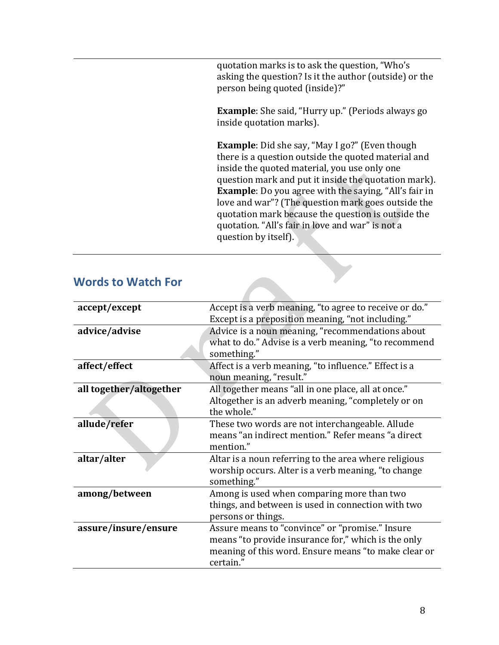quotation marks is to ask the question, "Who's asking the question? Is it the author (outside) or the person being quoted (inside)?"

**Example**: She said, "Hurry up." (Periods always go inside quotation marks).

**Example**: Did she say, "May I go?" (Even though there is a question outside the quoted material and inside the quoted material, you use only one question mark and put it inside the quotation mark). **Example**: Do you agree with the saying, "All's fair in love and war"? (The question mark goes outside the quotation mark because the question is outside the quotation. "All's fair in love and war" is not a question by itself).

### <span id="page-7-0"></span>**Words to Watch For**

| accept/except           | Accept is a verb meaning, "to agree to receive or do."              |
|-------------------------|---------------------------------------------------------------------|
|                         | Except is a preposition meaning, "not including."                   |
| advice/advise           | Advice is a noun meaning, "recommendations about                    |
|                         | what to do." Advise is a verb meaning, "to recommend<br>something." |
| affect/effect           | Affect is a verb meaning, "to influence." Effect is a               |
|                         | noun meaning, "result."                                             |
| all together/altogether | All together means "all in one place, all at once."                 |
|                         | Altogether is an adverb meaning, "completely or on                  |
|                         | the whole."                                                         |
| allude/refer            | These two words are not interchangeable. Allude                     |
|                         | means "an indirect mention." Refer means "a direct                  |
|                         | mention."                                                           |
| altar/alter             | Altar is a noun referring to the area where religious               |
|                         | worship occurs. Alter is a verb meaning, "to change                 |
|                         | something."                                                         |
| among/between           | Among is used when comparing more than two                          |
|                         | things, and between is used in connection with two                  |
|                         | persons or things.                                                  |
| assure/insure/ensure    | Assure means to "convince" or "promise." Insure                     |
|                         | means "to provide insurance for," which is the only                 |
|                         | meaning of this word. Ensure means "to make clear or                |
|                         | certain."                                                           |
|                         |                                                                     |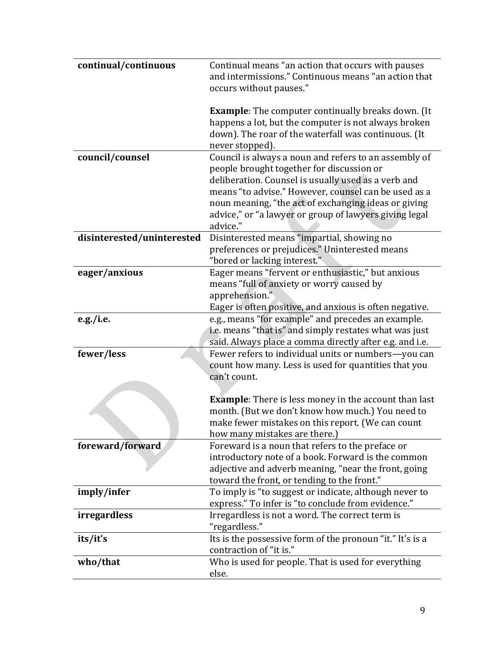| continual/continuous        | Continual means "an action that occurs with pauses<br>and intermissions." Continuous means "an action that<br>occurs without pauses."                                                                                                                                                                                                           |
|-----------------------------|-------------------------------------------------------------------------------------------------------------------------------------------------------------------------------------------------------------------------------------------------------------------------------------------------------------------------------------------------|
|                             | <b>Example:</b> The computer continually breaks down. (It<br>happens a lot, but the computer is not always broken<br>down). The roar of the waterfall was continuous. (It<br>never stopped).                                                                                                                                                    |
| council/counsel             | Council is always a noun and refers to an assembly of<br>people brought together for discussion or<br>deliberation. Counsel is usually used as a verb and<br>means "to advise." However, counsel can be used as a<br>noun meaning, "the act of exchanging ideas or giving<br>advice," or "a lawyer or group of lawyers giving legal<br>advice." |
| disinterested/uninterested  | Disinterested means "impartial, showing no<br>preferences or prejudices." Uninterested means<br>"bored or lacking interest."                                                                                                                                                                                                                    |
| eager/anxious               | Eager means "fervent or enthusiastic," but anxious<br>means "full of anxiety or worry caused by<br>apprehension."<br>Eager is often positive, and anxious is often negative.                                                                                                                                                                    |
| e.g./i.e.                   | e.g., means "for example" and precedes an example.<br>i.e. means "that is" and simply restates what was just<br>said. Always place a comma directly after e.g. and i.e.                                                                                                                                                                         |
| fewer/less                  | Fewer refers to individual units or numbers-you can<br>count how many. Less is used for quantities that you<br>can't count.<br><b>Example:</b> There is less money in the account than last<br>month. (But we don't know how much.) You need to<br>make fewer mistakes on this report. (We can count                                            |
| foreward/forward            | how many mistakes are there.)<br>Foreward is a noun that refers to the preface or<br>introductory note of a book. Forward is the common<br>adjective and adverb meaning, "near the front, going<br>toward the front, or tending to the front."                                                                                                  |
|                             |                                                                                                                                                                                                                                                                                                                                                 |
|                             | To imply is "to suggest or indicate, although never to                                                                                                                                                                                                                                                                                          |
| imply/infer<br>irregardless | express." To infer is "to conclude from evidence."<br>Irregardless is not a word. The correct term is<br>"regardless."                                                                                                                                                                                                                          |
| its/it's                    | Its is the possessive form of the pronoun "it." It's is a<br>contraction of "it is."                                                                                                                                                                                                                                                            |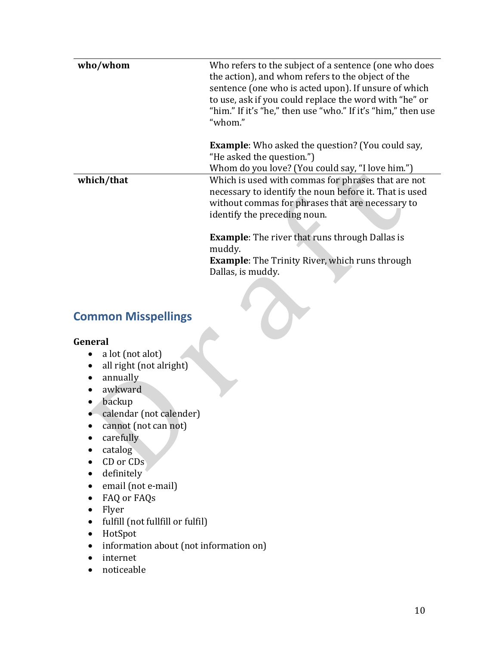| who/whom   | Who refers to the subject of a sentence (one who does<br>the action), and whom refers to the object of the<br>sentence (one who is acted upon). If unsure of which<br>to use, ask if you could replace the word with "he" or<br>"him." If it's "he," then use "who." If it's "him," then use<br>"whom." |
|------------|---------------------------------------------------------------------------------------------------------------------------------------------------------------------------------------------------------------------------------------------------------------------------------------------------------|
|            | <b>Example:</b> Who asked the question? (You could say,<br>"He asked the question.")<br>Whom do you love? (You could say, "I love him.")                                                                                                                                                                |
| which/that | Which is used with commas for phrases that are not<br>necessary to identify the noun before it. That is used<br>without commas for phrases that are necessary to<br>identify the preceding noun.                                                                                                        |
|            | <b>Example:</b> The river that runs through Dallas is<br>muddy.<br><b>Example:</b> The Trinity River, which runs through<br>Dallas, is muddy.                                                                                                                                                           |

## <span id="page-9-0"></span>**Common Misspellings**

#### **General**

- a lot (not alot)
- all right (not alright)
- annually
- awkward
- backup
- calendar (not calender)
- cannot (not can not)
- carefully
- catalog
- CD or CDs
- definitely
- email (not e-mail)
- FAQ or FAQs
- Flyer
- fulfill (not fullfill or fulfil)
- HotSpot
- information about (not information on)
- internet
- noticeable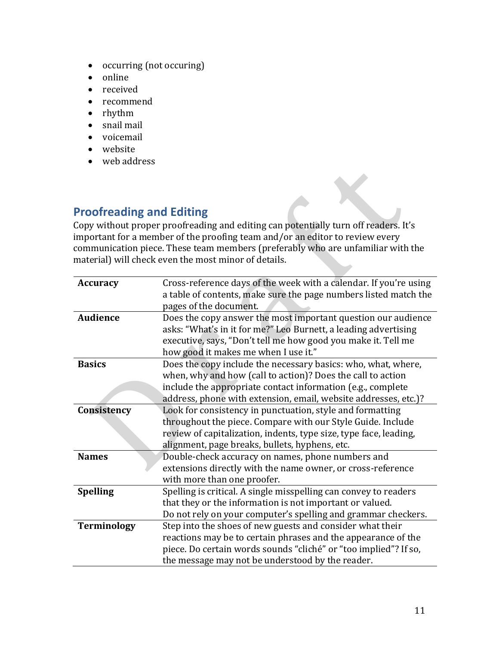- occurring (not occuring)
- online
- received
- recommend
- rhythm
- snail mail
- voicemail
- website
- web address

### <span id="page-10-0"></span>**Proofreading and Editing**

Copy without proper proofreading and editing can potentially turn off readers. It's important for a member of the proofing team and/or an editor to review every communication piece. These team members (preferably who are unfamiliar with the material) will check even the most minor of details.

| <b>Accuracy</b>    | Cross-reference days of the week with a calendar. If you're using |
|--------------------|-------------------------------------------------------------------|
|                    | a table of contents, make sure the page numbers listed match the  |
|                    | pages of the document.                                            |
| <b>Audience</b>    | Does the copy answer the most important question our audience     |
|                    | asks: "What's in it for me?" Leo Burnett, a leading advertising   |
|                    | executive, says, "Don't tell me how good you make it. Tell me     |
|                    | how good it makes me when I use it."                              |
| <b>Basics</b>      | Does the copy include the necessary basics: who, what, where,     |
|                    | when, why and how (call to action)? Does the call to action       |
|                    | include the appropriate contact information (e.g., complete       |
|                    | address, phone with extension, email, website addresses, etc.)?   |
| Consistency        | Look for consistency in punctuation, style and formatting         |
|                    | throughout the piece. Compare with our Style Guide. Include       |
|                    | review of capitalization, indents, type size, type face, leading, |
|                    | alignment, page breaks, bullets, hyphens, etc.                    |
| <b>Names</b>       | Double-check accuracy on names, phone numbers and                 |
|                    | extensions directly with the name owner, or cross-reference       |
|                    | with more than one proofer.                                       |
| <b>Spelling</b>    | Spelling is critical. A single misspelling can convey to readers  |
|                    | that they or the information is not important or valued.          |
|                    | Do not rely on your computer's spelling and grammar checkers.     |
| <b>Terminology</b> | Step into the shoes of new guests and consider what their         |
|                    | reactions may be to certain phrases and the appearance of the     |
|                    | piece. Do certain words sounds "cliché" or "too implied"? If so,  |
|                    | the message may not be understood by the reader.                  |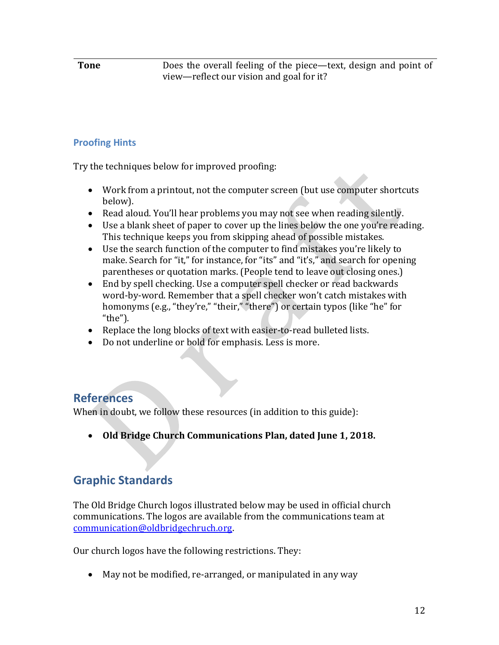**Tone** Does the overall feeling of the piece—text, design and point of view—reflect our vision and goal for it?

### <span id="page-11-0"></span>**Proofing Hints**

Try the techniques below for improved proofing:

- Work from a printout, not the computer screen (but use computer shortcuts below).
- Read aloud. You'll hear problems you may not see when reading silently.
- Use a blank sheet of paper to cover up the lines below the one you're reading. This technique keeps you from skipping ahead of possible mistakes.
- Use the search function of the computer to find mistakes you're likely to make. Search for "it," for instance, for "its" and "it's," and search for opening parentheses or quotation marks. (People tend to leave out closing ones.)
- End by spell checking. Use a computer spell checker or read backwards word-by-word. Remember that a spell checker won't catch mistakes with homonyms (e.g., "they're," "their," "there") or certain typos (like "he" for "the").
- Replace the long blocks of text with easier-to-read bulleted lists.
- Do not underline or bold for emphasis. Less is more.

### <span id="page-11-1"></span>**References**

When in doubt, we follow these resources (in addition to this guide):

• **Old Bridge Church Communications Plan, dated June 1, 2018.**

## <span id="page-11-2"></span>**Graphic Standards**

The Old Bridge Church logos illustrated below may be used in official church communications. The logos are available from the communications team at [communication@oldbridgechruch.org.](mailto:communication@oldbridgechruch.org)

Our church logos have the following restrictions. They:

• May not be modified, re-arranged, or manipulated in any way